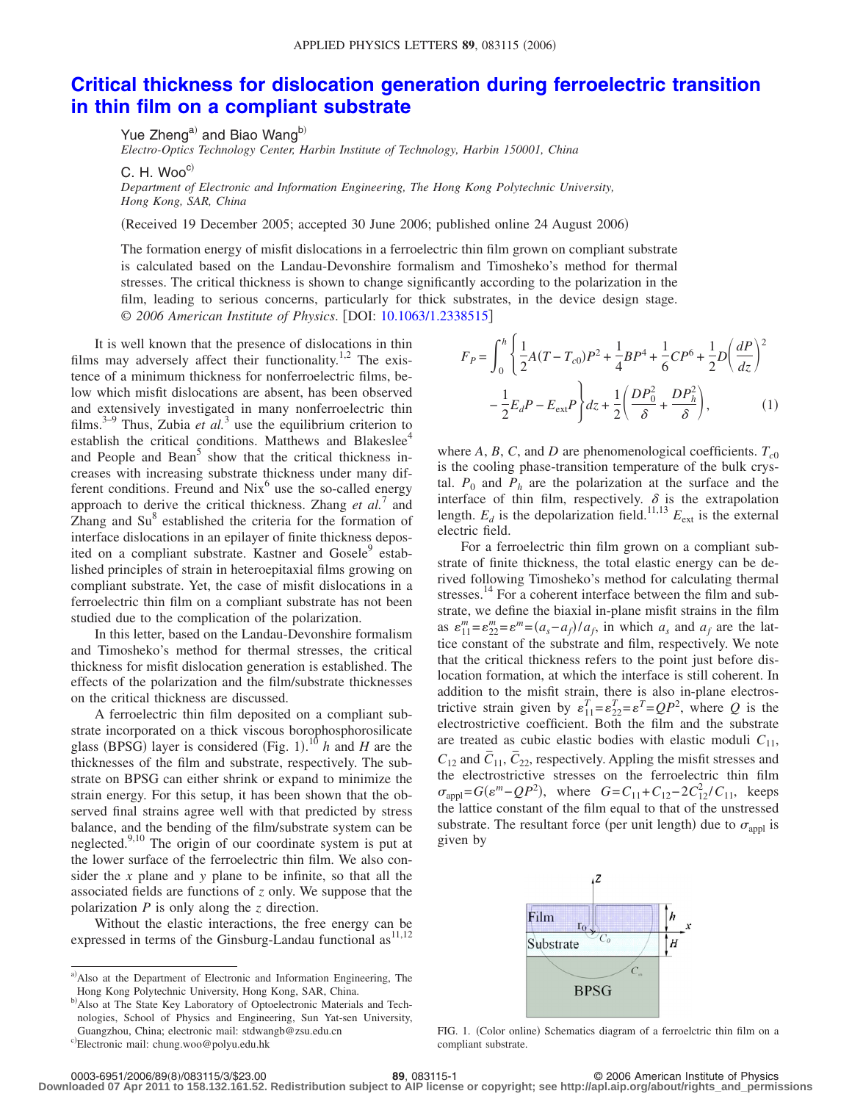## **[Critical thickness for dislocation generation during ferroelectric transition](http://dx.doi.org/10.1063/1.2338515) [in thin film on a compliant substrate](http://dx.doi.org/10.1063/1.2338515)**

Yue Zheng<sup>a)</sup> and Biao Wang<sup>b)</sup>

*Electro-Optics Technology Center, Harbin Institute of Technology, Harbin 150001, China*

 $C. H. Woo<sup>c)</sup>$ 

*Department of Electronic and Information Engineering, The Hong Kong Polytechnic University, Hong Kong, SAR, China*

Received 19 December 2005; accepted 30 June 2006; published online 24 August 2006-

The formation energy of misfit dislocations in a ferroelectric thin film grown on compliant substrate is calculated based on the Landau-Devonshire formalism and Timosheko's method for thermal stresses. The critical thickness is shown to change significantly according to the polarization in the film, leading to serious concerns, particularly for thick substrates, in the device design stage. © 2006 American Institute of Physics. [DOI: [10.1063/1.2338515](http://dx.doi.org/10.1063/1.2338515)]

It is well known that the presence of dislocations in thin films may adversely affect their functionality.<sup>1,2</sup> The existence of a minimum thickness for nonferroelectric films, below which misfit dislocations are absent, has been observed and extensively investigated in many nonferroelectric thin films.<sup>3–9</sup> Thus, Zubia *et al.*<sup>3</sup> use the equilibrium criterion to establish the critical conditions. Matthews and Blakeslee<sup>4</sup> and People and Bean<sup>5</sup> show that the critical thickness increases with increasing substrate thickness under many different conditions. Freund and  $Nix^6$  use the so-called energy approach to derive the critical thickness. Zhang *et al.*<sup>7</sup> and Zhang and Su<sup>8</sup> established the criteria for the formation of interface dislocations in an epilayer of finite thickness deposited on a compliant substrate. Kastner and Gosele<sup>9</sup> established principles of strain in heteroepitaxial films growing on compliant substrate. Yet, the case of misfit dislocations in a ferroelectric thin film on a compliant substrate has not been studied due to the complication of the polarization.

In this letter, based on the Landau-Devonshire formalism and Timosheko's method for thermal stresses, the critical thickness for misfit dislocation generation is established. The effects of the polarization and the film/substrate thicknesses on the critical thickness are discussed.

A ferroelectric thin film deposited on a compliant substrate incorporated on a thick viscous borophosphorosilicate glass (BPSG) layer is considered (Fig. 1).<sup>10</sup> *h* and *H* are the thicknesses of the film and substrate, respectively. The substrate on BPSG can either shrink or expand to minimize the strain energy. For this setup, it has been shown that the observed final strains agree well with that predicted by stress balance, and the bending of the film/substrate system can be neglected. $9,10$  The origin of our coordinate system is put at the lower surface of the ferroelectric thin film. We also consider the *x* plane and *y* plane to be infinite, so that all the associated fields are functions of *z* only. We suppose that the polarization *P* is only along the *z* direction.

Without the elastic interactions, the free energy can be expressed in terms of the Ginsburg-Landau functional as<sup>11,12</sup>

$$
F_P = \int_0^h \left\{ \frac{1}{2} A (T - T_{c0}) P^2 + \frac{1}{4} B P^4 + \frac{1}{6} C P^6 + \frac{1}{2} D \left( \frac{dP}{dz} \right)^2 - \frac{1}{2} E_d P - E_{ext} P \right\} dz + \frac{1}{2} \left( \frac{D P_0^2}{\delta} + \frac{D P_h^2}{\delta} \right), \tag{1}
$$

where *A*, *B*, *C*, and *D* are phenomenological coefficients.  $T_{c0}$ is the cooling phase-transition temperature of the bulk crystal.  $P_0$  and  $P_h$  are the polarization at the surface and the interface of thin film, respectively.  $\delta$  is the extrapolation length.  $E_d$  is the depolarization field.<sup>11,13</sup>  $E_{ext}$  is the external electric field.

For a ferroelectric thin film grown on a compliant substrate of finite thickness, the total elastic energy can be derived following Timosheko's method for calculating thermal stresses.<sup>14</sup> For a coherent interface between the film and substrate, we define the biaxial in-plane misfit strains in the film as  $\varepsilon_{11}^m = \varepsilon_{22}^m = \varepsilon_m^m = (a_s - a_f)/a_f$ , in which  $a_s$  and  $a_f$  are the lattice constant of the substrate and film, respectively. We note that the critical thickness refers to the point just before dislocation formation, at which the interface is still coherent. In addition to the misfit strain, there is also in-plane electrostrictive strain given by  $\varepsilon_{11}^T = \varepsilon_{22}^T = \varepsilon^T = QP^2$ , where *Q* is the electrostrictive coefficient. Both the film and the substrate are treated as cubic elastic bodies with elastic moduli  $C_{11}$ ,  $C_{12}$  and  $\overline{C}_{11}$ ,  $\overline{C}_{22}$ , respectively. Appling the misfit stresses and the electrostrictive stresses on the ferroelectric thin film  $\sigma_{\text{appl}} = G(\varepsilon^m - QP^2)$ , where  $G = C_{11} + C_{12} - 2C_{12}^2/C_{11}$ , keeps the lattice constant of the film equal to that of the unstressed substrate. The resultant force (per unit length) due to  $\sigma_{\text{appl}}$  is given by



FIG. 1. (Color online) Schematics diagram of a ferroelctric thin film on a compliant substrate.

**Downloaded 07 Apr 2011 to 158.132.161.52. Redistribution subject to AIP license or copyright; see http://apl.aip.org/about/rights\_and\_permissions**

a) Also at the Department of Electronic and Information Engineering, The Hong Kong Polytechnic University, Hong Kong, SAR, China.

b) Also at The State Key Laboratory of Optoelectronic Materials and Technologies, School of Physics and Engineering, Sun Yat-sen University, Guangzhou, China; electronic mail: stdwangb@zsu.edu.cn

c)Electronic mail: chung.woo@polyu.edu.hk

<sup>89, 083115-1</sup> **89, 083115-1** © 2006 American Institute of Physics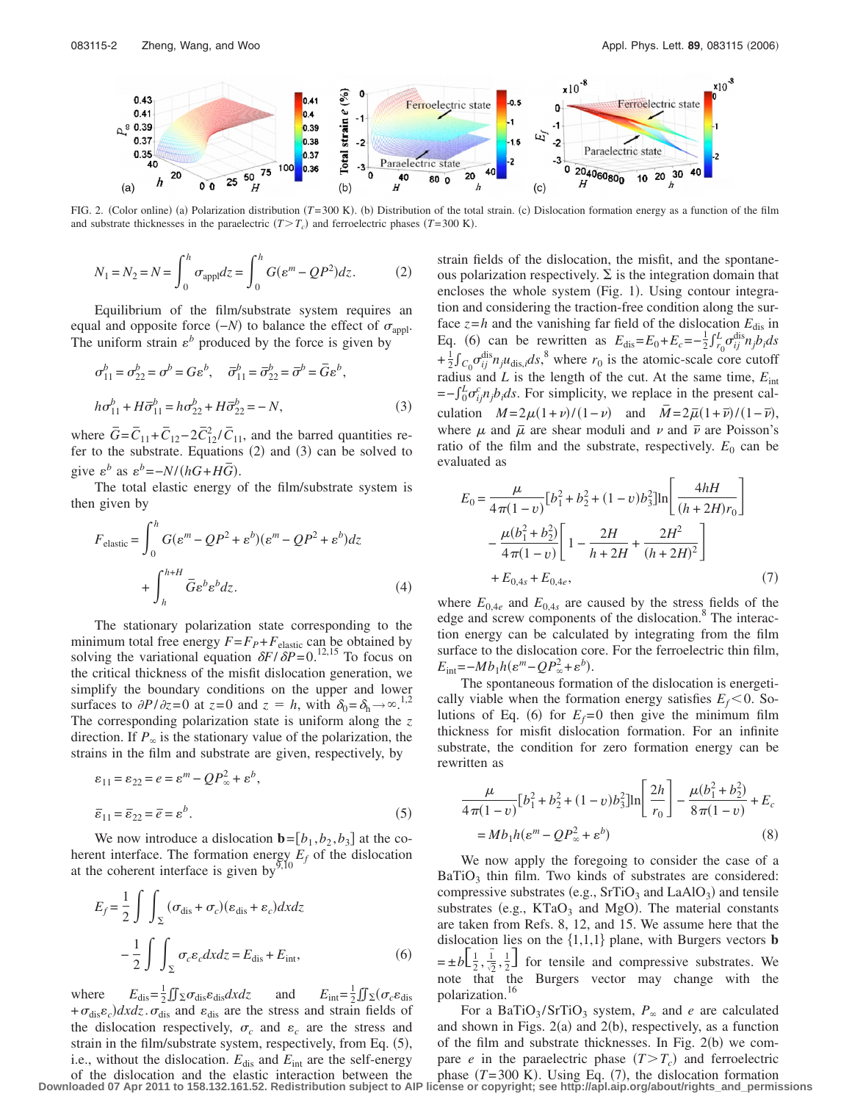

FIG. 2. (Color online) (a) Polarization distribution (T=300 K). (b) Distribution of the total strain. (c) Dislocation formation energy as a function of the film and substrate thicknesses in the paraelectric  $(T>T_c)$  and ferroelectric phases  $(T=300 \text{ K})$ .

$$
N_1 = N_2 = N = \int_0^h \sigma_{\text{app}} dz = \int_0^h G(\varepsilon^m - QP^2) dz.
$$
 (2)

Equilibrium of the film/substrate system requires an equal and opposite force  $(-N)$  to balance the effect of  $\sigma_{\text{appl}}$ . The uniform strain  $\varepsilon^b$  produced by the force is given by

$$
\sigma_{11}^{b} = \sigma_{22}^{b} = \sigma^{b} = G\varepsilon^{b}, \quad \overline{\sigma}_{11}^{b} = \overline{\sigma}_{22}^{b} = \overline{\sigma}^{b} = \overline{G}\varepsilon^{b},
$$
  
\n
$$
h\sigma_{11}^{b} + H\overline{\sigma}_{11}^{b} = h\sigma_{22}^{b} + H\overline{\sigma}_{22}^{b} = -N,
$$
\n(3)

where  $\overline{G} = \overline{C}_{11} + \overline{C}_{12} - 2\overline{C}_{12}^2 / \overline{C}_{11}$ , and the barred quantities refer to the substrate. Equations  $(2)$  and  $(3)$  can be solved to give  $\varepsilon^b$  as  $\varepsilon^b = -N/(hG + H\overline{G})$ .

The total elastic energy of the film/substrate system is then given by

$$
F_{\text{elastic}} = \int_0^h G(\varepsilon^m - QP^2 + \varepsilon^b)(\varepsilon^m - QP^2 + \varepsilon^b) dz
$$
  
+ 
$$
\int_h^{h+H} \bar{G} \varepsilon^b \varepsilon^b dz.
$$
 (4)

The stationary polarization state corresponding to the minimum total free energy  $F = F_p + F_{elastic}$  can be obtained by solving the variational equation  $\delta F/\delta P = 0.12,15$  To focus on the critical thickness of the misfit dislocation generation, we simplify the boundary conditions on the upper and lower surfaces to  $\partial P/\partial z = 0$  at  $z = 0$  and  $z = h$ , with  $\delta_0 = \delta_h \rightarrow \infty^{1,2}$ . The corresponding polarization state is uniform along the *z* direction. If  $P_{\infty}$  is the stationary value of the polarization, the strains in the film and substrate are given, respectively, by

$$
\varepsilon_{11} = \varepsilon_{22} = e = \varepsilon^{m} - QP_{\infty}^{2} + \varepsilon^{b},
$$
  

$$
\overline{\varepsilon}_{11} = \overline{\varepsilon}_{22} = \overline{e} = \varepsilon^{b}.
$$
 (5)

We now introduce a dislocation  $\mathbf{b} = [b_1, b_2, b_3]$  at the coherent interface. The formation energy  $E_f$  of the dislocation at the coherent interface is given by  $\frac{1}{9}$ ,  $\frac{1}{10}$ 

$$
E_f = \frac{1}{2} \int \int \int \int \sigma_{dis} + \sigma_c ( \epsilon_{dis} + \epsilon_c) dx dz
$$

$$
- \frac{1}{2} \int \int \int \sigma_c \epsilon_c dx dz = E_{dis} + E_{int}, \tag{6}
$$

where  $E_{\text{dis}} = \frac{1}{2} \iint \sum \sigma_{\text{dis}} \varepsilon_{\text{dis}} dxdz$  and  $E_{\text{int}} = \frac{1}{2}$  $\frac{1}{2} \iint \Sigma (\sigma_c \varepsilon_{\mathrm{dis}})$  $+\sigma_{\text{dis}}\varepsilon_c$ ) dxdz.  $\sigma_{\text{dis}}$  and  $\varepsilon_{\text{dis}}$  are the stress and strain fields of the dislocation respectively,  $\sigma_c$  and  $\varepsilon_c$  are the stress and strain in the film/substrate system, respectively, from Eq. (5), i.e., without the dislocation.  $E_{dis}$  and  $E_{int}$  are the self-energy strain fields of the dislocation, the misfit, and the spontaneous polarization respectively.  $\Sigma$  is the integration domain that encloses the whole system (Fig. 1). Using contour integration and considering the traction-free condition along the surface  $z=h$  and the vanishing far field of the dislocation  $E_{dis}$  in Eq. (6) can be rewritten as  $E_{\text{dis}} = E_0 + E_c = -\frac{1}{2} \int_{r_0}^L \sigma_{ij}^{\text{dis}} n_j \overline{b_i} ds$  $+\frac{1}{2}\int_{C_0} \sigma_{ij}^{\text{dis}} n_j u_{\text{dis},i} ds$ ,<sup>8</sup> where  $r_0$  is the atomic-scale core cutoff radius and  $L$  is the length of the cut. At the same time,  $E_{int}$  $=-\int_0^L \sigma_{ij}^c n_j b_i ds$ . For simplicity, we replace in the present calculation  $M = 2\mu(1+\nu)/(1-\nu)$  and  $\overline{M} = 2\overline{\mu}(1+\overline{\nu})/(1-\overline{\nu})$ , where  $\mu$  and  $\overline{\mu}$  are shear moduli and  $\nu$  and  $\overline{\nu}$  are Poisson's ratio of the film and the substrate, respectively.  $E_0$  can be evaluated as

$$
E_0 = \frac{\mu}{4\pi(1-v)} [b_1^2 + b_2^2 + (1-v)b_3^2] \ln \left[ \frac{4hH}{(h+2H)r_0} \right]
$$

$$
- \frac{\mu(b_1^2 + b_2^2)}{4\pi(1-v)} \left[ 1 - \frac{2H}{h+2H} + \frac{2H^2}{(h+2H)^2} \right]
$$

$$
+ E_{0,4s} + E_{0,4e}, \tag{7}
$$

where  $E_{0,4e}$  and  $E_{0,4s}$  are caused by the stress fields of the edge and screw components of the dislocation.<sup>8</sup> The interaction energy can be calculated by integrating from the film surface to the dislocation core. For the ferroelectric thin film,  $E_{\text{int}} = -Mb_1h(\varepsilon^m - QP_\infty^2 + \varepsilon^b).$ 

The spontaneous formation of the dislocation is energetically viable when the formation energy satisfies  $E_f < 0$ . Solutions of Eq. (6) for  $E_f = 0$  then give the minimum film thickness for misfit dislocation formation. For an infinite substrate, the condition for zero formation energy can be rewritten as

$$
\frac{\mu}{4\pi(1-v)}[b_1^2 + b_2^2 + (1-v)b_3^2]\ln\left[\frac{2h}{r_0}\right] - \frac{\mu(b_1^2 + b_2^2)}{8\pi(1-v)} + E_c
$$
  
=  $Mb_1h(e^m - QP_\infty^2 + e^b)$  (8)

We now apply the foregoing to consider the case of a  $BaTiO<sub>3</sub>$  thin film. Two kinds of substrates are considered: compressive substrates (e.g.,  $SrTiO<sub>3</sub>$  and  $LaAlO<sub>3</sub>$ ) and tensile substrates (e.g.,  $KTaO<sub>3</sub>$  and MgO). The material constants are taken from Refs. 8, 12, and 15. We assume here that the dislocation lies on the  $\{1,1,1\}$  plane, with Burgers vectors **b**  $= \pm b \left[ \frac{1}{2}, \frac{1}{\sqrt{2}} \right]$  $\frac{1}{2}, \frac{1}{2}$  for tensile and compressive substrates. We note that the Burgers vector may change with the polarization.16

For a BaTiO<sub>3</sub>/SrTiO<sub>3</sub> system,  $P_{\infty}$  and *e* are calculated and shown in Figs.  $2(a)$  and  $2(b)$ , respectively, as a function of the film and substrate thicknesses. In Fig.  $2(b)$  we compare *e* in the paraelectric phase  $(T>T_c)$  and ferroelectric phase  $(T=300 \text{ K})$ . Using Eq.  $(7)$ , the dislocation formation

of the dislocation and the elastic interaction between the **Downloaded 07 Apr 2011 to 158.132.161.52. Redistribution subject to AIP license or copyright; see http://apl.aip.org/about/rights\_and\_permissions**